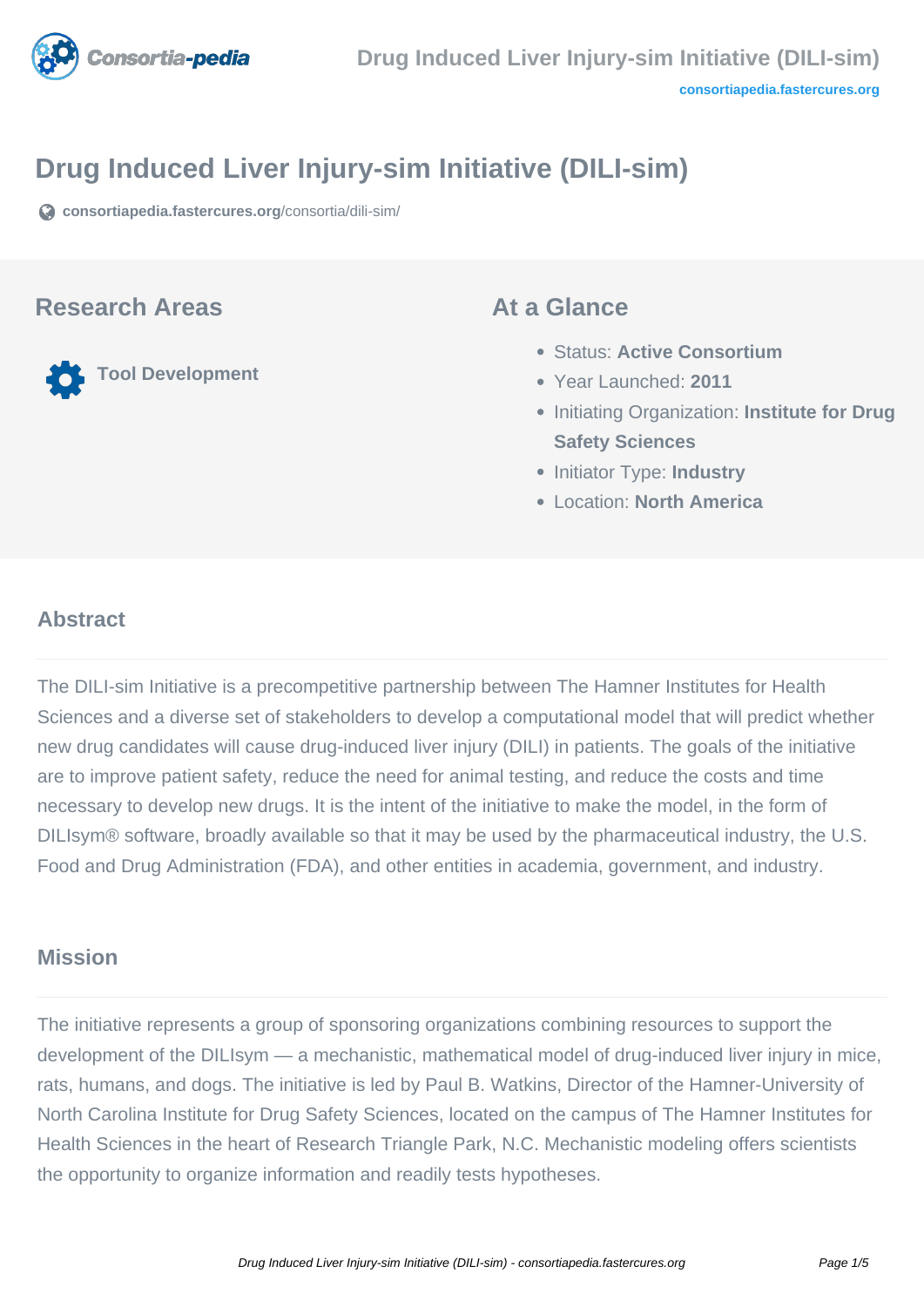

# **Drug Induced Liver Injury-sim Initiative (DILI-sim)**

**[consortiapedia.fastercures.org](https://consortiapedia.fastercures.org/consortia/dili-sim/)**[/consortia/dili-sim/](https://consortiapedia.fastercures.org/consortia/dili-sim/)

#### **Research Areas**

**Tool Development**

#### **At a Glance**

- Status: **Active Consortium**
- Year Launched: **2011**
- **Initiating Organization: Institute for Drug Safety Sciences**
- **Initiator Type: Industry**
- Location: **North America**

#### $\overline{a}$ **Abstract**

The DILI-sim Initiative is a precompetitive partnership between The Hamner Institutes for Health Sciences and a diverse set of stakeholders to develop a computational model that will predict whether new drug candidates will cause drug-induced liver injury (DILI) in patients. The goals of the initiative are to improve patient safety, reduce the need for animal testing, and reduce the costs and time necessary to develop new drugs. It is the intent of the initiative to make the model, in the form of DILIsym® software, broadly available so that it may be used by the pharmaceutical industry, the U.S. Food and Drug Administration (FDA), and other entities in academia, government, and industry.

#### **Mission**

The initiative represents a group of sponsoring organizations combining resources to support the development of the DILIsym — a mechanistic, mathematical model of drug-induced liver injury in mice, rats, humans, and dogs. The initiative is led by Paul B. Watkins, Director of the Hamner-University of North Carolina Institute for Drug Safety Sciences, located on the campus of The Hamner Institutes for Health Sciences in the heart of Research Triangle Park, N.C. Mechanistic modeling offers scientists the opportunity to organize information and readily tests hypotheses.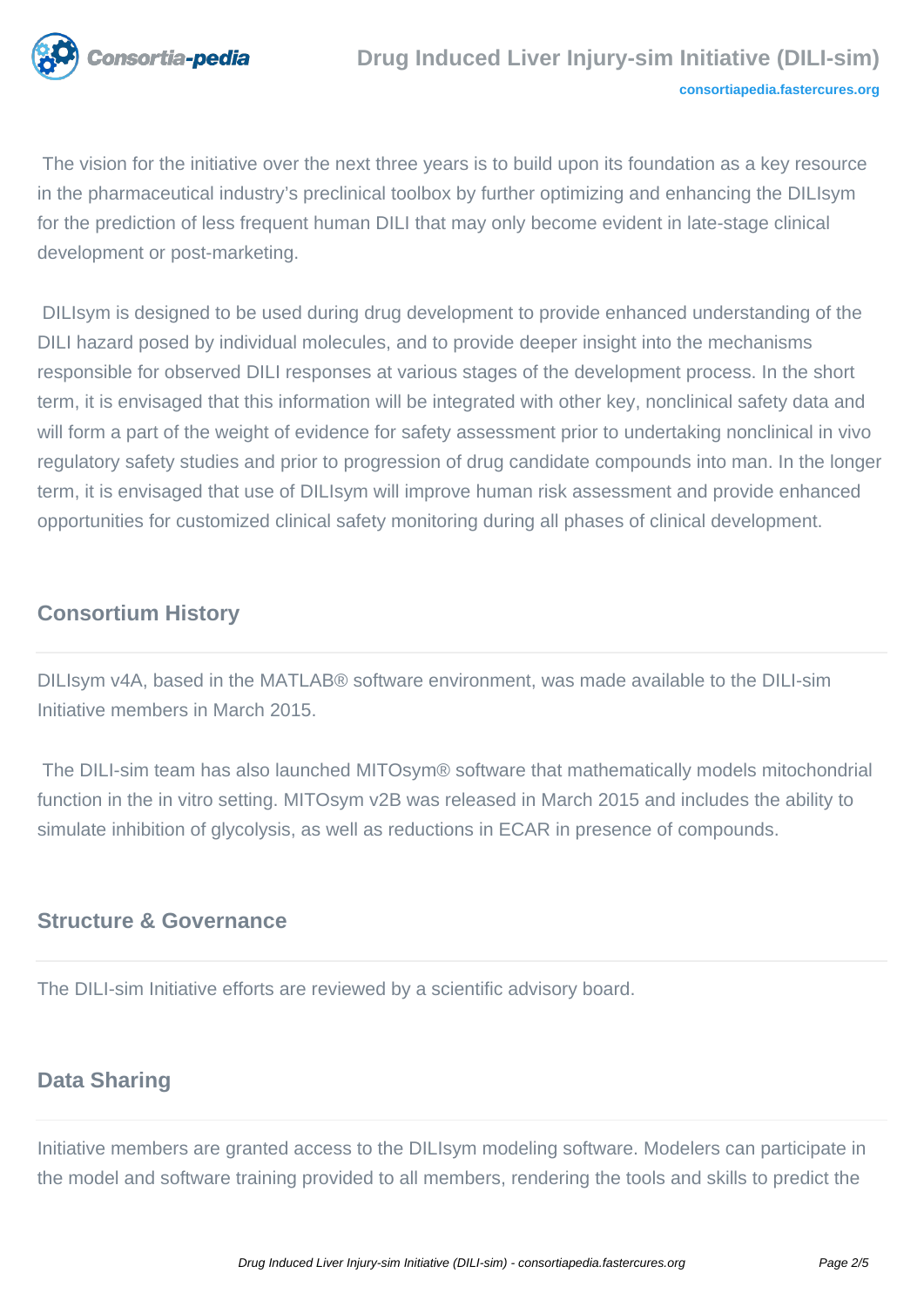

 The vision for the initiative over the next three years is to build upon its foundation as a key resource in the pharmaceutical industry's preclinical toolbox by further optimizing and enhancing the DILIsym for the prediction of less frequent human DILI that may only become evident in late-stage clinical development or post-marketing.

 DILIsym is designed to be used during drug development to provide enhanced understanding of the DILI hazard posed by individual molecules, and to provide deeper insight into the mechanisms responsible for observed DILI responses at various stages of the development process. In the short term, it is envisaged that this information will be integrated with other key, nonclinical safety data and will form a part of the weight of evidence for safety assessment prior to undertaking nonclinical in vivo regulatory safety studies and prior to progression of drug candidate compounds into man. In the longer term, it is envisaged that use of DILIsym will improve human risk assessment and provide enhanced opportunities for customized clinical safety monitoring during all phases of clinical development.

## **Consortium History**

DILIsym v4A, based in the MATLAB® software environment, was made available to the DILI-sim Initiative members in March 2015.

 The DILI-sim team has also launched MITOsym® software that mathematically models mitochondrial function in the in vitro setting. MITOsym v2B was released in March 2015 and includes the ability to simulate inhibition of glycolysis, as well as reductions in ECAR in presence of compounds.

### **Structure & Governance**

The DILI-sim Initiative efforts are reviewed by a scientific advisory board.

## **Data Sharing**

Initiative members are granted access to the DILIsym modeling software. Modelers can participate in the model and software training provided to all members, rendering the tools and skills to predict the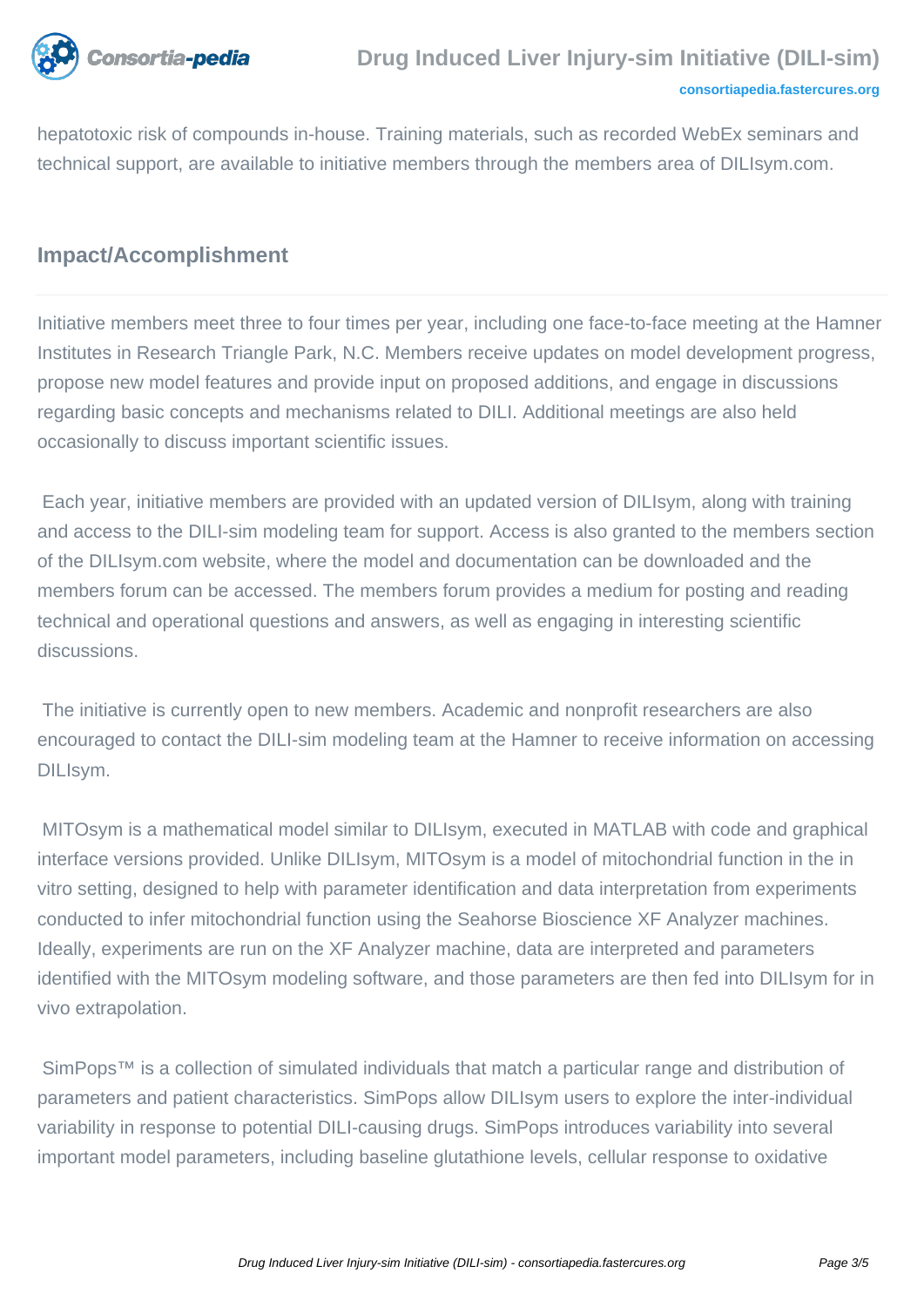

hepatotoxic risk of compounds in-house. Training materials, such as recorded WebEx seminars and technical support, are available to initiative members through the members area of DILIsym.com.

## **Impact/Accomplishment**

Initiative members meet three to four times per year, including one face-to-face meeting at the Hamner Institutes in Research Triangle Park, N.C. Members receive updates on model development progress, propose new model features and provide input on proposed additions, and engage in discussions regarding basic concepts and mechanisms related to DILI. Additional meetings are also held occasionally to discuss important scientific issues.

 Each year, initiative members are provided with an updated version of DILIsym, along with training and access to the DILI-sim modeling team for support. Access is also granted to the members section of the DILIsym.com website, where the model and documentation can be downloaded and the members forum can be accessed. The members forum provides a medium for posting and reading technical and operational questions and answers, as well as engaging in interesting scientific discussions.

 The initiative is currently open to new members. Academic and nonprofit researchers are also encouraged to contact the DILI-sim modeling team at the Hamner to receive information on accessing DILIsym.

 MITOsym is a mathematical model similar to DILIsym, executed in MATLAB with code and graphical interface versions provided. Unlike DILIsym, MITOsym is a model of mitochondrial function in the in vitro setting, designed to help with parameter identification and data interpretation from experiments conducted to infer mitochondrial function using the Seahorse Bioscience XF Analyzer machines. Ideally, experiments are run on the XF Analyzer machine, data are interpreted and parameters identified with the MITOsym modeling software, and those parameters are then fed into DILIsym for in vivo extrapolation.

SimPops<sup>™</sup> is a collection of simulated individuals that match a particular range and distribution of parameters and patient characteristics. SimPops allow DILIsym users to explore the inter-individual variability in response to potential DILI-causing drugs. SimPops introduces variability into several important model parameters, including baseline glutathione levels, cellular response to oxidative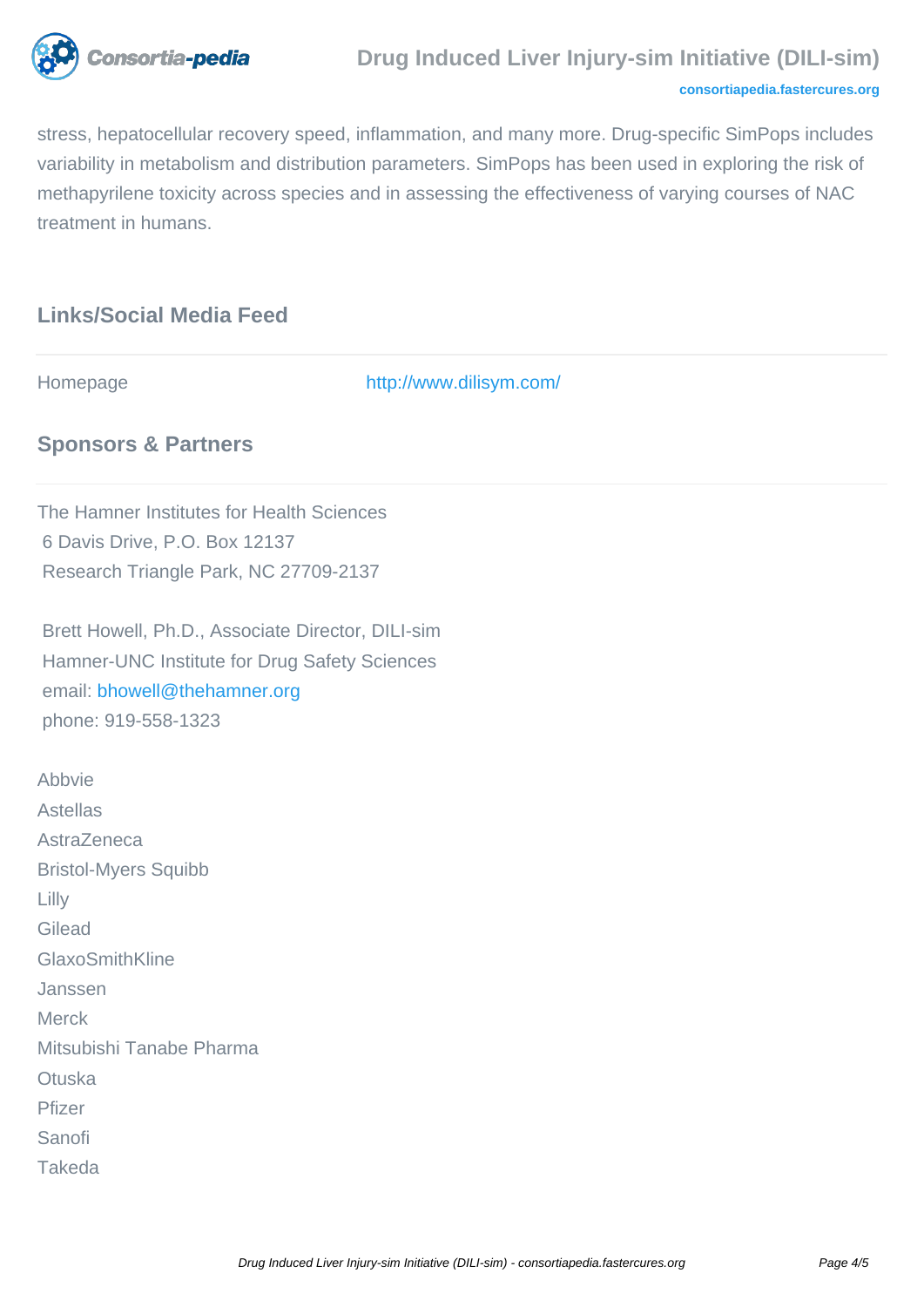

#### **Drug Induced Liver Injury-sim Initiative (DILI-sim)**

#### **[consortiapedia.fastercures.org](http://consortiapedia.fastercures.org/)**

stress, hepatocellular recovery speed, inflammation, and many more. Drug-specific SimPops includes variability in metabolism and distribution parameters. SimPops has been used in exploring the risk of methapyrilene toxicity across species and in assessing the effectiveness of varying courses of NAC treatment in humans.

## **Links/Social Media Feed**

Homepage <http://www.dilisym.com/>

#### **Sponsors & Partners**

The Hamner Institutes for Health Sciences 6 Davis Drive, P.O. Box 12137 Research Triangle Park, NC 27709-2137

 Brett Howell, Ph.D., Associate Director, DILI-sim Hamner-UNC Institute for Drug Safety Sciences email[: bhowell@thehamner.org](mailto:bhowell@thehamner.org) phone: 919-558-1323

**Abbvie** Astellas **AstraZeneca** Bristol-Myers Squibb Lilly Gilead GlaxoSmithKline Janssen Merck Mitsubishi Tanabe Pharma **Otuska** Pfizer Sanofi Takeda